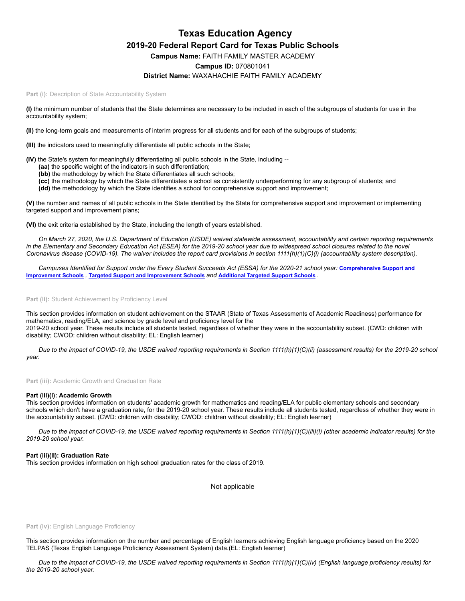# **Texas Education Agency 2019-20 Federal Report Card for Texas Public Schools Campus Name:** FAITH FAMILY MASTER ACADEMY **Campus ID:** 070801041

## **District Name:** WAXAHACHIE FAITH FAMILY ACADEMY

Part (i): Description of State Accountability System

**(I)** the minimum number of students that the State determines are necessary to be included in each of the subgroups of students for use in the accountability system;

**(II)** the long-term goals and measurements of interim progress for all students and for each of the subgroups of students;

**(III)** the indicators used to meaningfully differentiate all public schools in the State;

**(IV)** the State's system for meaningfully differentiating all public schools in the State, including --

- **(aa)** the specific weight of the indicators in such differentiation;
- **(bb)** the methodology by which the State differentiates all such schools;
- **(cc)** the methodology by which the State differentiates a school as consistently underperforming for any subgroup of students; and **(dd)** the methodology by which the State identifies a school for comprehensive support and improvement;

**(V)** the number and names of all public schools in the State identified by the State for comprehensive support and improvement or implementing

targeted support and improvement plans;

**(VI)** the exit criteria established by the State, including the length of years established.

*On March 27, 2020, the U.S. Department of Education (USDE) waived statewide assessment, accountability and certain reporting requirements in the Elementary and Secondary Education Act (ESEA) for the 2019-20 school year due to widespread school closures related to the novel Coronavirus disease (COVID-19). The waiver includes the report card provisions in section 1111(h)(1)(C)(i) (accountability system description).*

*[Campuses Identified for Support under the Every Student Succeeds Act \(ESSA\) for the 2020-21 school year:](https://tea.texas.gov/sites/default/files/comprehensive_support_2020.xlsx)* **Comprehensive Support and Improvement Schools** *,* **Targeted Support and [Improvement](https://tea.texas.gov/sites/default/files/targeted_support_2020.xlsx) Schools** *and* **[Additional](https://tea.texas.gov/sites/default/files/additional_targeted_support_2020.xlsx) Targeted Support Schools** *.*

## Part (ii): Student Achievement by Proficiency Level

This section provides information on student achievement on the STAAR (State of Texas Assessments of Academic Readiness) performance for mathematics, reading/ELA, and science by grade level and proficiency level for the 2019-20 school year. These results include all students tested, regardless of whether they were in the accountability subset. (CWD: children with disability; CWOD: children without disability; EL: English learner)

*Due to the impact of COVID-19, the USDE waived reporting requirements in Section 1111(h)(1)(C)(ii) (assessment results) for the 2019-20 school year.*

**Part (iii):** Academic Growth and Graduation Rate

### **Part (iii)(I): Academic Growth**

This section provides information on students' academic growth for mathematics and reading/ELA for public elementary schools and secondary schools which don't have a graduation rate, for the 2019-20 school year. These results include all students tested, regardless of whether they were in the accountability subset. (CWD: children with disability; CWOD: children without disability; EL: English learner)

*Due to the impact of COVID-19, the USDE waived reporting requirements in Section 1111(h)(1)(C)(iii)(I) (other academic indicator results) for the 2019-20 school year.*

#### **Part (iii)(II): Graduation Rate**

This section provides information on high school graduation rates for the class of 2019.

Not applicable

#### Part (iv): English Language Proficiency

This section provides information on the number and percentage of English learners achieving English language proficiency based on the 2020 TELPAS (Texas English Language Proficiency Assessment System) data.(EL: English learner)

*Due to the impact of COVID-19, the USDE waived reporting requirements in Section 1111(h)(1)(C)(iv) (English language proficiency results) for the 2019-20 school year.*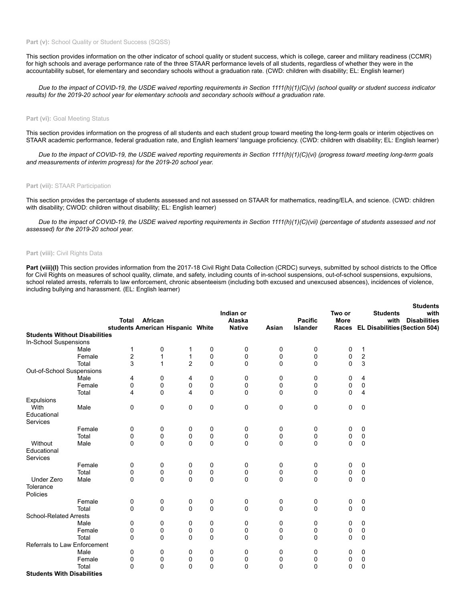## Part (v): School Quality or Student Success (SQSS)

This section provides information on the other indicator of school quality or student success, which is college, career and military readiness (CCMR) for high schools and average performance rate of the three STAAR performance levels of all students, regardless of whether they were in the accountability subset, for elementary and secondary schools without a graduation rate. (CWD: children with disability; EL: English learner)

*Due to the impact of COVID-19, the USDE waived reporting requirements in Section 1111(h)(1)(C)(v) (school quality or student success indicator results) for the 2019-20 school year for elementary schools and secondary schools without a graduation rate.*

### **Part (vi): Goal Meeting Status**

This section provides information on the progress of all students and each student group toward meeting the long-term goals or interim objectives on STAAR academic performance, federal graduation rate, and English learners' language proficiency. (CWD: children with disability; EL: English learner)

*Due to the impact of COVID-19, the USDE waived reporting requirements in Section 1111(h)(1)(C)(vi) (progress toward meeting long-term goals and measurements of interim progress) for the 2019-20 school year.*

#### **Part (vii):** STAAR Participation

This section provides the percentage of students assessed and not assessed on STAAR for mathematics, reading/ELA, and science. (CWD: children with disability; CWOD: children without disability; EL: English learner)

*Due to the impact of COVID-19, the USDE waived reporting requirements in Section 1111(h)(1)(C)(vii) (percentage of students assessed and not assessed) for the 2019-20 school year.*

## **Part (viii):** Civil Rights Data

Part (viii)(I) This section provides information from the 2017-18 Civil Right Data Collection (CRDC) surveys, submitted by school districts to the Office for Civil Rights on measures of school quality, climate, and safety, including counts of in-school suspensions, out-of-school suspensions, expulsions, school related arrests, referrals to law enforcement, chronic absenteeism (including both excused and unexcused absences), incidences of violence, including bullying and harassment. (EL: English learner)

|                                      |        | <b>Total</b><br>students American Hispanic White | African      |                |              | Indian or<br>Alaska<br><b>Native</b> | Asian       | <b>Pacific</b><br><b>Islander</b> | Two or<br><b>More</b> |                         | <b>Students</b><br><b>Students</b><br>with<br><b>Disabilities</b><br>with<br>Races EL Disabilities (Section 504) |
|--------------------------------------|--------|--------------------------------------------------|--------------|----------------|--------------|--------------------------------------|-------------|-----------------------------------|-----------------------|-------------------------|------------------------------------------------------------------------------------------------------------------|
| <b>Students Without Disabilities</b> |        |                                                  |              |                |              |                                      |             |                                   |                       |                         |                                                                                                                  |
| In-School Suspensions                |        |                                                  |              |                |              |                                      |             |                                   |                       |                         |                                                                                                                  |
|                                      | Male   | 1                                                | 0            | 1              | 0            | 0                                    | 0           | 0                                 | 0                     | 1                       |                                                                                                                  |
|                                      | Female | $\overline{c}$                                   | 1            | $\mathbf{1}$   | 0            | 0                                    | $\mathbf 0$ | 0                                 | 0                     | $\sqrt{2}$              |                                                                                                                  |
|                                      | Total  | 3                                                | $\mathbf{1}$ | $\overline{2}$ | $\mathbf 0$  | 0                                    | $\mathbf 0$ | $\mathbf 0$                       | $\Omega$              | 3                       |                                                                                                                  |
| Out-of-School Suspensions            |        |                                                  |              |                |              |                                      |             |                                   |                       |                         |                                                                                                                  |
|                                      | Male   | 4                                                | 0            | 4              | 0            | 0                                    | 0           | 0                                 | 0                     | 4                       |                                                                                                                  |
|                                      | Female | 0                                                | 0            | 0              | 0            | 0                                    | 0           | 0                                 | 0                     | 0                       |                                                                                                                  |
|                                      | Total  | 4                                                | $\mathbf 0$  | 4              | $\mathbf 0$  | 0                                    | $\mathbf 0$ | $\mathbf 0$                       | $\Omega$              | $\overline{\mathbf{4}}$ |                                                                                                                  |
| Expulsions                           |        |                                                  |              |                |              |                                      |             |                                   |                       |                         |                                                                                                                  |
| With                                 | Male   | 0                                                | 0            | 0              | 0            | 0                                    | 0           | 0                                 | 0                     | 0                       |                                                                                                                  |
| Educational<br>Services              |        |                                                  |              |                |              |                                      |             |                                   |                       |                         |                                                                                                                  |
|                                      | Female | 0                                                | 0            | 0              | 0            | 0                                    | 0           | 0                                 | 0                     | 0                       |                                                                                                                  |
|                                      | Total  | 0                                                | 0            | $\mathbf 0$    | 0            | $\pmb{0}$                            | $\pmb{0}$   | $\pmb{0}$                         | 0                     | $\mathbf 0$             |                                                                                                                  |
| Without<br>Educational<br>Services   | Male   | 0                                                | $\mathbf 0$  | $\mathbf 0$    | $\mathbf 0$  | $\mathbf 0$                          | $\pmb{0}$   | $\mathbf 0$                       | $\Omega$              | $\mathbf 0$             |                                                                                                                  |
|                                      | Female | 0                                                | 0            | 0              | 0            | 0                                    | 0           | 0                                 | 0                     | 0                       |                                                                                                                  |
|                                      | Total  | 0                                                | 0            | 0              | 0            | 0                                    | 0           | 0                                 | 0                     | 0                       |                                                                                                                  |
| <b>Under Zero</b>                    | Male   | 0                                                | 0            | $\mathbf 0$    | $\mathbf 0$  | 0                                    | $\mathbf 0$ | $\mathbf 0$                       | $\mathbf 0$           | $\mathbf 0$             |                                                                                                                  |
| Tolerance<br>Policies                |        |                                                  |              |                |              |                                      |             |                                   |                       |                         |                                                                                                                  |
|                                      | Female | 0                                                | 0            | 0              | 0            | 0                                    | 0           | 0                                 | 0                     | 0                       |                                                                                                                  |
|                                      | Total  | 0                                                | $\mathbf 0$  | $\mathbf 0$    | $\mathbf 0$  | $\mathbf 0$                          | 0           | $\mathbf 0$                       | $\mathbf 0$           | $\mathbf 0$             |                                                                                                                  |
| <b>School-Related Arrests</b>        |        |                                                  |              |                |              |                                      |             |                                   |                       |                         |                                                                                                                  |
|                                      | Male   | 0                                                | 0            | 0              | 0            | 0                                    | 0           | 0                                 | 0                     | 0                       |                                                                                                                  |
|                                      | Female | 0                                                | 0            | 0              | 0            | 0                                    | 0           | 0                                 | 0                     | 0                       |                                                                                                                  |
|                                      | Total  | $\mathbf{0}$                                     | $\mathbf 0$  | $\mathbf 0$    | $\mathbf 0$  | 0                                    | $\mathbf 0$ | $\mathbf 0$                       | $\mathbf 0$           | 0                       |                                                                                                                  |
| Referrals to Law Enforcement         |        |                                                  |              |                |              |                                      |             |                                   |                       |                         |                                                                                                                  |
|                                      | Male   | 0                                                | 0            | 0              | 0            | 0                                    | 0           | 0                                 | 0                     | 0                       |                                                                                                                  |
|                                      | Female | 0                                                | 0            | 0              | 0            | 0                                    | 0           | 0                                 | 0                     | 0                       |                                                                                                                  |
|                                      | Total  | 0                                                | 0            | $\Omega$       | $\mathbf{0}$ | $\mathbf 0$                          | 0           | $\mathbf 0$                       | $\Omega$              | 0                       |                                                                                                                  |
| <b>Students With Disabilities</b>    |        |                                                  |              |                |              |                                      |             |                                   |                       |                         |                                                                                                                  |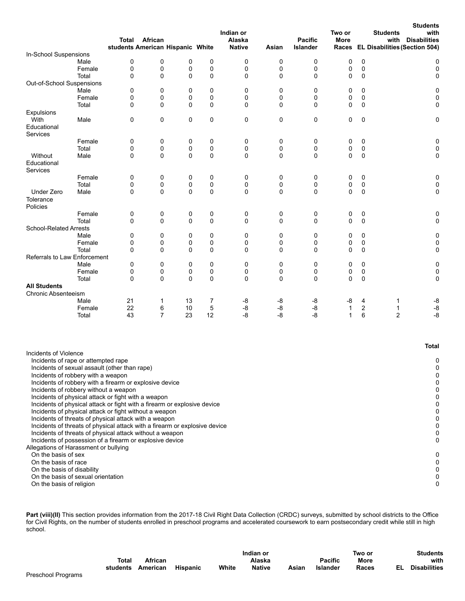|                                                                                                                                                                                                                                                                                                                                                                                                                                                                                                                                                                                                                                |        | Total             | African<br>students American Hispanic White |    |             | Indian or<br>Alaska<br><b>Native</b> | Asian | <b>Pacific</b><br>Islander | Two or<br>More |   | <b>Students</b><br><b>Students</b><br>with<br>with<br><b>Disabilities</b><br>Races EL Disabilities (Section 504) |
|--------------------------------------------------------------------------------------------------------------------------------------------------------------------------------------------------------------------------------------------------------------------------------------------------------------------------------------------------------------------------------------------------------------------------------------------------------------------------------------------------------------------------------------------------------------------------------------------------------------------------------|--------|-------------------|---------------------------------------------|----|-------------|--------------------------------------|-------|----------------------------|----------------|---|------------------------------------------------------------------------------------------------------------------|
| In-School Suspensions                                                                                                                                                                                                                                                                                                                                                                                                                                                                                                                                                                                                          |        |                   |                                             |    |             |                                      |       |                            |                |   |                                                                                                                  |
|                                                                                                                                                                                                                                                                                                                                                                                                                                                                                                                                                                                                                                | Male   | 0                 | $\mathbf 0$                                 | 0  | 0           | 0                                    | 0     | 0                          | 0              | 0 | 0                                                                                                                |
|                                                                                                                                                                                                                                                                                                                                                                                                                                                                                                                                                                                                                                | Female | 0                 | 0                                           | 0  | 0           | 0                                    | 0     | 0                          | 0              | 0 | $\pmb{0}$                                                                                                        |
|                                                                                                                                                                                                                                                                                                                                                                                                                                                                                                                                                                                                                                | Total  | 0                 | $\mathbf 0$                                 | 0  | 0           | 0                                    | 0     | 0                          | 0              | 0 | 0                                                                                                                |
| Out-of-School Suspensions                                                                                                                                                                                                                                                                                                                                                                                                                                                                                                                                                                                                      |        |                   |                                             |    |             |                                      |       |                            |                |   |                                                                                                                  |
|                                                                                                                                                                                                                                                                                                                                                                                                                                                                                                                                                                                                                                | Male   | 0                 | 0                                           | 0  | 0           | 0                                    | 0     | 0                          | 0              | 0 | 0                                                                                                                |
|                                                                                                                                                                                                                                                                                                                                                                                                                                                                                                                                                                                                                                | Female | 0                 | 0                                           | 0  | 0           | 0                                    | 0     | 0                          | 0              | 0 | 0                                                                                                                |
|                                                                                                                                                                                                                                                                                                                                                                                                                                                                                                                                                                                                                                | Total  | $\mathbf 0$       | $\mathbf 0$                                 | 0  | 0           | 0                                    | 0     | 0                          | 0              | 0 | 0                                                                                                                |
| Expulsions                                                                                                                                                                                                                                                                                                                                                                                                                                                                                                                                                                                                                     |        |                   |                                             |    |             |                                      |       |                            |                |   |                                                                                                                  |
| With                                                                                                                                                                                                                                                                                                                                                                                                                                                                                                                                                                                                                           | Male   | $\mathbf 0$       | $\mathbf 0$                                 | 0  | 0           | 0                                    | 0     | 0                          | 0              | 0 | 0                                                                                                                |
| Educational                                                                                                                                                                                                                                                                                                                                                                                                                                                                                                                                                                                                                    |        |                   |                                             |    |             |                                      |       |                            |                |   |                                                                                                                  |
| Services                                                                                                                                                                                                                                                                                                                                                                                                                                                                                                                                                                                                                       | Female | 0                 | 0                                           | 0  | 0           | 0                                    | 0     | 0                          | 0              | 0 | 0                                                                                                                |
|                                                                                                                                                                                                                                                                                                                                                                                                                                                                                                                                                                                                                                | Total  | 0                 | 0                                           | 0  | 0           | 0                                    | 0     | 0                          | 0              | 0 | 0                                                                                                                |
| Without                                                                                                                                                                                                                                                                                                                                                                                                                                                                                                                                                                                                                        | Male   | 0                 | $\Omega$                                    | 0  | $\mathbf 0$ | 0                                    | 0     | 0                          | 0              | 0 | 0                                                                                                                |
| Educational                                                                                                                                                                                                                                                                                                                                                                                                                                                                                                                                                                                                                    |        |                   |                                             |    |             |                                      |       |                            |                |   |                                                                                                                  |
| Services                                                                                                                                                                                                                                                                                                                                                                                                                                                                                                                                                                                                                       |        |                   |                                             |    |             |                                      |       |                            |                |   |                                                                                                                  |
|                                                                                                                                                                                                                                                                                                                                                                                                                                                                                                                                                                                                                                | Female | 0                 | 0                                           | 0  | 0           | 0                                    | 0     | 0                          | 0              | 0 | 0                                                                                                                |
|                                                                                                                                                                                                                                                                                                                                                                                                                                                                                                                                                                                                                                | Total  | 0                 | 0                                           | 0  | 0           | 0                                    | 0     | 0                          | 0              | 0 | 0                                                                                                                |
| <b>Under Zero</b>                                                                                                                                                                                                                                                                                                                                                                                                                                                                                                                                                                                                              | Male   | 0                 | $\Omega$                                    | 0  | $\mathbf 0$ | 0                                    | 0     | 0                          | 0              | 0 | 0                                                                                                                |
| Tolerance                                                                                                                                                                                                                                                                                                                                                                                                                                                                                                                                                                                                                      |        |                   |                                             |    |             |                                      |       |                            |                |   |                                                                                                                  |
| Policies                                                                                                                                                                                                                                                                                                                                                                                                                                                                                                                                                                                                                       |        |                   |                                             |    |             |                                      |       |                            |                |   |                                                                                                                  |
|                                                                                                                                                                                                                                                                                                                                                                                                                                                                                                                                                                                                                                | Female | 0                 | 0                                           | 0  | 0           | 0                                    | 0     | 0                          | 0              | 0 | 0                                                                                                                |
|                                                                                                                                                                                                                                                                                                                                                                                                                                                                                                                                                                                                                                | Total  | 0                 | $\mathbf 0$                                 | 0  | $\mathbf 0$ | 0                                    | 0     | 0                          | 0              | 0 | 0                                                                                                                |
| <b>School-Related Arrests</b>                                                                                                                                                                                                                                                                                                                                                                                                                                                                                                                                                                                                  |        |                   |                                             |    |             |                                      |       |                            |                |   |                                                                                                                  |
|                                                                                                                                                                                                                                                                                                                                                                                                                                                                                                                                                                                                                                | Male   | 0                 | 0                                           | 0  | 0           | 0                                    | 0     | 0                          | 0              | 0 | 0                                                                                                                |
|                                                                                                                                                                                                                                                                                                                                                                                                                                                                                                                                                                                                                                | Female | 0                 | $\mathbf 0$                                 | 0  | 0           | 0                                    | 0     | 0                          | 0              | 0 | 0                                                                                                                |
|                                                                                                                                                                                                                                                                                                                                                                                                                                                                                                                                                                                                                                | Total  | 0                 | $\mathbf 0$                                 | 0  | 0           | 0                                    | 0     | 0                          | 0              | 0 | 0                                                                                                                |
| <b>Referrals to Law Enforcement</b>                                                                                                                                                                                                                                                                                                                                                                                                                                                                                                                                                                                            |        |                   |                                             |    |             |                                      |       |                            |                |   |                                                                                                                  |
|                                                                                                                                                                                                                                                                                                                                                                                                                                                                                                                                                                                                                                | Male   | 0                 | 0                                           | 0  | 0           | 0                                    | 0     | 0                          | 0              | 0 | 0                                                                                                                |
|                                                                                                                                                                                                                                                                                                                                                                                                                                                                                                                                                                                                                                | Female | 0<br>$\mathbf{0}$ | 0                                           | 0  | 0           | 0                                    | 0     | 0                          | 0<br>0         | 0 | 0                                                                                                                |
| <b>All Students</b>                                                                                                                                                                                                                                                                                                                                                                                                                                                                                                                                                                                                            | Total  |                   | $\mathbf 0$                                 | 0  | $\mathbf 0$ | 0                                    | 0     | 0                          |                | 0 | 0                                                                                                                |
| <b>Chronic Absenteeism</b>                                                                                                                                                                                                                                                                                                                                                                                                                                                                                                                                                                                                     |        |                   |                                             |    |             |                                      |       |                            |                |   |                                                                                                                  |
|                                                                                                                                                                                                                                                                                                                                                                                                                                                                                                                                                                                                                                | Male   | 21                | 1                                           | 13 | 7           | -8                                   | -8    | -8                         | -8             | 4 | -8<br>1                                                                                                          |
|                                                                                                                                                                                                                                                                                                                                                                                                                                                                                                                                                                                                                                | Female | 22                | 6                                           | 10 | 5           | -8                                   | -8    | -8                         | $\mathbf{1}$   | 2 | -8<br>1                                                                                                          |
|                                                                                                                                                                                                                                                                                                                                                                                                                                                                                                                                                                                                                                | Total  | 43                | $\overline{7}$                              | 23 | 12          | -8                                   | -8    | -8                         | 1              | 6 | $\overline{2}$<br>-8                                                                                             |
|                                                                                                                                                                                                                                                                                                                                                                                                                                                                                                                                                                                                                                |        |                   |                                             |    |             |                                      |       |                            |                |   |                                                                                                                  |
| Incidents of Violence                                                                                                                                                                                                                                                                                                                                                                                                                                                                                                                                                                                                          |        |                   |                                             |    |             |                                      |       |                            |                |   | <b>Total</b>                                                                                                     |
| Incidents of rape or attempted rape<br>Incidents of sexual assault (other than rape)<br>Incidents of robbery with a weapon<br>Incidents of robbery with a firearm or explosive device<br>Incidents of robbery without a weapon<br>Incidents of physical attack or fight with a weapon<br>Incidents of physical attack or fight with a firearm or explosive device<br>Incidents of physical attack or fight without a weapon<br>Incidents of threats of physical attack with a weapon<br>Incidents of threats of physical attack with a firearm or explosive device<br>Incidents of threats of physical attack without a weapon |        |                   |                                             |    |             |                                      |       |                            |                |   | 0<br>0<br>0<br>0<br>0<br>0<br>0<br>0<br>0<br>0<br>0                                                              |
| Incidents of possession of a firearm or explosive device<br>Allegations of Harassment or bullying<br>On the basis of sex                                                                                                                                                                                                                                                                                                                                                                                                                                                                                                       |        |                   |                                             |    |             |                                      |       |                            |                |   | 0<br>0                                                                                                           |
| On the basis of race<br>On the basis of disability<br>On the basis of sexual orientation<br>On the basis of religion                                                                                                                                                                                                                                                                                                                                                                                                                                                                                                           |        |                   |                                             |    |             |                                      |       |                            |                |   | 0<br>0<br>0<br>0                                                                                                 |

Part (viii)(II) This section provides information from the 2017-18 Civil Right Data Collection (CRDC) surveys, submitted by school districts to the Office for Civil Rights, on the number of students enrolled in preschool programs and accelerated coursework to earn postsecondary credit while still in high school.

|              |          |          |       | Indian or     |       |                | Two or      | <b>Students</b>             |
|--------------|----------|----------|-------|---------------|-------|----------------|-------------|-----------------------------|
| <b>Total</b> | African  |          |       | Alaska        |       | <b>Pacific</b> | <b>More</b> | with                        |
| students     | American | Hispanic | White | <b>Native</b> | Asian | Islander       | Races       | <b>Disabilities</b><br>EL . |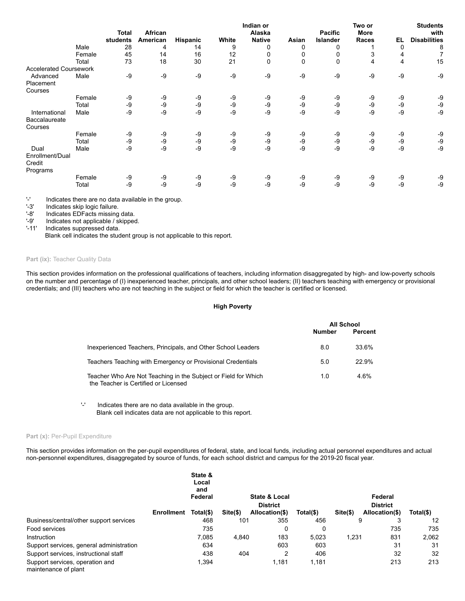|                               |        |                          |                     |          |       |                         | Two or | <b>Students</b>            |                             |    |                             |
|-------------------------------|--------|--------------------------|---------------------|----------|-------|-------------------------|--------|----------------------------|-----------------------------|----|-----------------------------|
|                               |        | <b>Total</b><br>students | African<br>American | Hispanic | White | Alaska<br><b>Native</b> | Asian  | <b>Pacific</b><br>Islander | <b>More</b><br><b>Races</b> | EL | with<br><b>Disabilities</b> |
|                               | Male   | 28                       | 4                   | 14       | 9     | 0                       | 0      | 0                          |                             | 0  | 8                           |
|                               | Female | 45                       | 14                  | 16       | 12    |                         |        | 0                          | 3                           | 4  | 7                           |
|                               | Total  | 73                       | 18                  | 30       | 21    | 0                       | 0      | $\mathbf 0$                | 4                           | 4  | 15                          |
| <b>Accelerated Coursework</b> |        |                          |                     |          |       |                         |        |                            |                             |    |                             |
| Advanced                      | Male   | -9                       | -9                  | $-9$     | -9    | -9                      | $-9$   | -9                         | -9                          | -9 | -9                          |
| Placement                     |        |                          |                     |          |       |                         |        |                            |                             |    |                             |
| Courses                       |        |                          |                     |          |       |                         |        |                            |                             |    |                             |
|                               | Female | -9                       | -9                  | -9       | -9    | -9                      | -9     | -9                         | -9                          | -9 | -9                          |
|                               | Total  | -9                       | -9                  | -9       | $-9$  | -9                      | -9     | -9                         | -9                          | -9 | -9                          |
| International                 | Male   | $-9$                     | -9                  | -9       | $-9$  | -9                      | -9     | -9                         | -9                          | -9 | -9                          |
| Baccalaureate                 |        |                          |                     |          |       |                         |        |                            |                             |    |                             |
| Courses                       |        |                          |                     |          |       |                         |        |                            |                             |    |                             |
|                               | Female | -9                       | -9                  | -9       | -9    | -9                      | -9     | -9                         | -9                          | -9 | -9                          |
|                               | Total  | -9                       | -9                  | -9       | -9    | -9                      | -9     | -9                         | -9                          | -9 | -9                          |
| Dual                          | Male   | -9                       | -9                  | -9       | -9    | -9                      | $-9$   | -9                         | -9                          | -9 | -9                          |
| Enrollment/Dual               |        |                          |                     |          |       |                         |        |                            |                             |    |                             |
| Credit                        |        |                          |                     |          |       |                         |        |                            |                             |    |                             |
| Programs                      |        |                          |                     |          |       |                         |        |                            |                             |    |                             |
|                               | Female | -9                       | -9                  | -9       | -9    | -9                      | -9     | -9                         | -9                          | -9 | -9                          |
|                               | Total  | -9                       | -9                  | -9       | -9    | -9                      | -9     | -9                         | -9                          | -9 | -9                          |
|                               |        |                          |                     |          |       |                         |        |                            |                             |    |                             |

'-' Indicates there are no data available in the group.<br>'-3' Indicates skip logic failure.

'-3' Indicates skip logic failure.<br>'-8' Indicates EDFacts missing

'-8' Indicates EDFacts missing data.<br>'-9' Indicates not applicable / skipped

Indicates not applicable / skipped.

'-11' Indicates suppressed data.

Blank cell indicates the student group is not applicable to this report.

## Part (ix): Teacher Quality Data

This section provides information on the professional qualifications of teachers, including information disaggregated by high- and low-poverty schools on the number and percentage of (I) inexperienced teacher, principals, and other school leaders; (II) teachers teaching with emergency or provisional credentials; and (III) teachers who are not teaching in the subject or field for which the teacher is certified or licensed.

## **High Poverty**

|                                                                                                        |        | <b>All School</b> |
|--------------------------------------------------------------------------------------------------------|--------|-------------------|
|                                                                                                        | Number | Percent           |
| Inexperienced Teachers, Principals, and Other School Leaders                                           | 8.0    | 33.6%             |
| Teachers Teaching with Emergency or Provisional Credentials                                            | 5.0    | 22.9%             |
| Teacher Who Are Not Teaching in the Subject or Field for Which<br>the Teacher is Certified or Licensed | 1.0    | 4.6%              |

'-' Indicates there are no data available in the group. Blank cell indicates data are not applicable to this report.

## Part (x): Per-Pupil Expenditure

This section provides information on the per-pupil expenditures of federal, state, and local funds, including actual personnel expenditures and actual non-personnel expenditures, disaggregated by source of funds, for each school district and campus for the 2019-20 fiscal year.

|                                                         |                   | State &<br>Local<br>and<br>Federal |          | <b>State &amp; Local</b> |             |           | Federal         |           |
|---------------------------------------------------------|-------------------|------------------------------------|----------|--------------------------|-------------|-----------|-----------------|-----------|
|                                                         |                   |                                    |          | <b>District</b>          |             |           | <b>District</b> |           |
|                                                         | <b>Enrollment</b> | Total(\$)                          | Site(\$) | Allocation(\$)           | $Total(\$)$ | $Site(§)$ | Allocation(\$)  | Total(\$) |
| Business/central/other support services                 |                   | 468                                | 101      | 355                      | 456         |           | 9               | 12        |
| Food services                                           |                   | 735                                |          | 0                        | $\Omega$    |           | 735             | 735       |
| Instruction                                             |                   | 7.085                              | 4.840    | 183                      | 5.023       | 1,231     | 831             | 2,062     |
| Support services, general administration                |                   | 634                                |          | 603                      | 603         |           | 31              | 31        |
| Support services, instructional staff                   |                   | 438                                | 404      | 2                        | 406         |           | 32              | 32        |
| Support services, operation and<br>maintenance of plant |                   | 1,394                              |          | 1,181                    | 1,181       |           | 213             | 213       |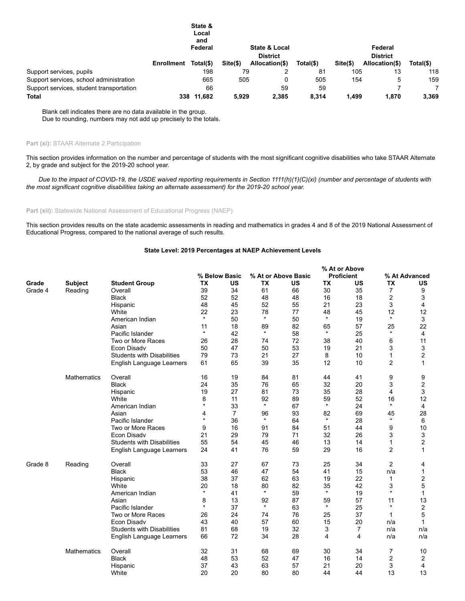|                                          |                   | State &<br>Local<br>and<br>Federal |             | <b>State &amp; Local</b>          |           |            | Federal                           |           |  |  |
|------------------------------------------|-------------------|------------------------------------|-------------|-----------------------------------|-----------|------------|-----------------------------------|-----------|--|--|
|                                          | <b>Enrollment</b> | Total(\$)                          | $Site($ \$) | <b>District</b><br>Allocation(\$) | Total(\$) | $Site(\$)$ | <b>District</b><br>Allocation(\$) | Total(\$) |  |  |
| Support services, pupils                 |                   | 198                                | 79          |                                   | 81        | 105        | 13                                | 118       |  |  |
| Support services, school administration  |                   | 665                                | 505         |                                   | 505       | 154        | 5                                 | 159       |  |  |
| Support services, student transportation |                   | 66                                 |             | 59                                | 59        |            |                                   |           |  |  |
| <b>Total</b>                             | 338               | 11,682                             | 5.929       | 2,385                             | 8.314     | 1.499      | 1.870                             | 3,369     |  |  |

Blank cell indicates there are no data available in the group. Due to rounding, numbers may not add up precisely to the totals.

## **Part (xi):** STAAR Alternate 2 Participation

This section provides information on the number and percentage of students with the most significant cognitive disabilities who take STAAR Alternate 2, by grade and subject for the 2019-20 school year.

*Due to the impact of COVID-19, the USDE waived reporting requirements in Section 1111(h)(1)(C)(xi) (number and percentage of students with the most significant cognitive disabilities taking an alternate assessment) for the 2019-20 school year.*

**Part (xii):** Statewide National Assessment of Educational Progress (NAEP)

This section provides results on the state academic assessments in reading and mathematics in grades 4 and 8 of the 2019 National Assessment of Educational Progress, compared to the national average of such results.

## **State Level: 2019 Percentages at NAEP Achievement Levels**

|         |                    |                                   |           |                |           |                     |           | % At or Above     |                |                         |
|---------|--------------------|-----------------------------------|-----------|----------------|-----------|---------------------|-----------|-------------------|----------------|-------------------------|
|         |                    |                                   |           | % Below Basic  |           | % At or Above Basic |           | <b>Proficient</b> |                | % At Advanced           |
| Grade   | <b>Subject</b>     | <b>Student Group</b>              | <b>TX</b> | US             | <b>TX</b> | <b>US</b>           | <b>TX</b> | US                | <b>TX</b>      | US                      |
| Grade 4 | Reading            | Overall                           | 39        | 34             | 61        | 66                  | 30        | 35                | $\overline{7}$ | 9                       |
|         |                    | <b>Black</b>                      | 52        | 52             | 48        | 48                  | 16        | 18                | 2              | 3                       |
|         |                    | Hispanic                          | 48        | 45             | 52        | 55                  | 21        | 23                | 3              | 4                       |
|         |                    | White                             | 22        | 23             | 78        | 77                  | 48        | 45                | 12             | 12                      |
|         |                    | American Indian                   | $\star$   | 50             | $\star$   | 50                  | $\star$   | 19                | $\star$        | 3                       |
|         |                    | Asian                             | 11        | 18             | 89        | 82                  | 65        | 57                | 25             | 22                      |
|         |                    | Pacific Islander                  | $\star$   | 42             | $\star$   | 58                  | $\star$   | 25                | $\star$        | $\overline{4}$          |
|         |                    | Two or More Races                 | 26        | 28             | 74        | 72                  | 38        | 40                | 6              | 11                      |
|         |                    | Econ Disadv                       | 50        | 47             | 50        | 53                  | 19        | 21                | 3              | 3                       |
|         |                    | <b>Students with Disabilities</b> | 79        | 73             | 21        | 27                  | 8         | 10                | 1              | $\overline{2}$          |
|         |                    | English Language Learners         | 61        | 65             | 39        | 35                  | 12        | 10                | 2              | 1                       |
|         | <b>Mathematics</b> | Overall                           | 16        | 19             | 84        | 81                  | 44        | 41                | 9              | 9                       |
|         |                    | <b>Black</b>                      | 24        | 35             | 76        | 65                  | 32        | 20                | 3              | $\overline{2}$          |
|         |                    | Hispanic                          | 19        | 27             | 81        | 73                  | 35        | 28                | 4              | 3                       |
|         |                    | White                             | 8         | 11             | 92        | 89                  | 59        | 52                | 16             | 12                      |
|         |                    | American Indian                   | $\star$   | 33             | $\star$   | 67                  | $\star$   | 24                | $\star$        | 4                       |
|         |                    | Asian                             | 4         | $\overline{7}$ | 96        | 93                  | 82        | 69                | 45             | 28                      |
|         |                    | Pacific Islander                  | $\star$   | 36             | $\star$   | 64                  | $\star$   | 28                | $\star$        | 6                       |
|         |                    | Two or More Races                 | 9         | 16             | 91        | 84                  | 51        | 44                | 9              | 10                      |
|         |                    | <b>Econ Disadv</b>                | 21        | 29             | 79        | 71                  | 32        | 26                | 3              | 3                       |
|         |                    | <b>Students with Disabilities</b> | 55        | 54             | 45        | 46                  | 13        | 14                | 1              | $\overline{2}$          |
|         |                    | English Language Learners         | 24        | 41             | 76        | 59                  | 29        | 16                | $\overline{2}$ | 1                       |
| Grade 8 | Reading            | Overall                           | 33        | 27             | 67        | 73                  | 25        | 34                | $\overline{2}$ | 4                       |
|         |                    | <b>Black</b>                      | 53        | 46             | 47        | 54                  | 41        | 15                | n/a            | 1                       |
|         |                    | Hispanic                          | 38        | 37             | 62        | 63                  | 19        | 22                | $\mathbf{1}$   | $\overline{\mathbf{c}}$ |
|         |                    | White                             | 20        | 18             | 80        | 82                  | 35        | 42                | 3              | 5                       |
|         |                    | American Indian                   | $\star$   | 41             | $\star$   | 59                  | $\star$   | 19                | $\star$        | 1                       |
|         |                    | Asian                             | 8         | 13             | 92        | 87                  | 59        | 57                | 11             | 13                      |
|         |                    | Pacific Islander                  | $\star$   | 37             | $\star$   | 63                  | $\star$   | 25                | $\star$        | $\overline{2}$          |
|         |                    | Two or More Races                 | 26        | 24             | 74        | 76                  | 25        | 37                | 1              | 5                       |
|         |                    | <b>Econ Disadv</b>                | 43        | 40             | 57        | 60                  | 15        | 20                | n/a            | $\mathbf{1}$            |
|         |                    | <b>Students with Disabilities</b> | 81        | 68             | 19        | 32                  | 3         | 7                 | n/a            | n/a                     |
|         |                    | English Language Learners         | 66        | 72             | 34        | 28                  | 4         | 4                 | n/a            | n/a                     |
|         | <b>Mathematics</b> | Overall                           | 32        | 31             | 68        | 69                  | 30        | 34                | 7              | 10                      |
|         |                    | <b>Black</b>                      | 48        | 53             | 52        | 47                  | 16        | 14                | 2              | $\overline{2}$          |
|         |                    | Hispanic                          | 37        | 43             | 63        | 57                  | 21        | 20                | 3              | 4                       |
|         |                    | White                             | 20        | 20             | 80        | 80                  | 44        | 44                | 13             | 13                      |